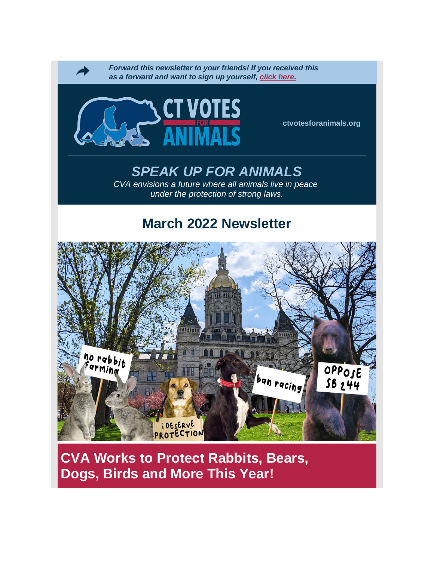

**CVA Works to Protect Rabbits, Bears, Dogs, Birds and More This Year!**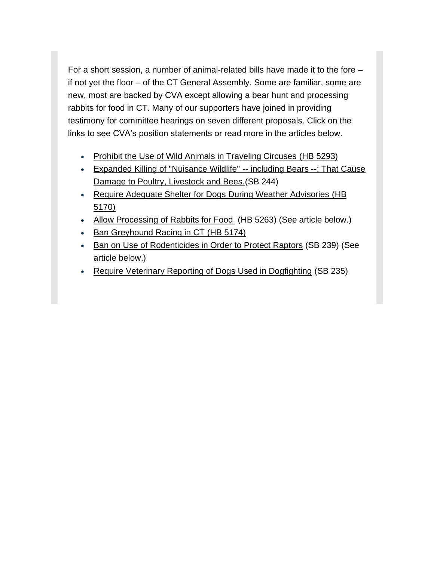For a short session, a number of animal-related bills have made it to the fore – if not yet the floor – of the CT General Assembly. Some are familiar, some are new, most are backed by CVA except allowing a bear hunt and processing rabbits for food in CT. Many of our supporters have joined in providing testimony for committee hearings on seven different proposals. Click on the links to see CVA's position statements or read more in the articles below.

- [Prohibit the Use of Wild Animals in Traveling Circuses](https://click.everyaction.com/k/43276107/336510006/1510104784?nvep=ew0KICAiVGVuYW50VXJpIjogIm5ncHZhbjovL3Zhbi9FQS9FQTAwNy8xLzg3MzIxIiwNCiAgIkRpc3RyaWJ1dGlvblVuaXF1ZUlkIjogIjZmMGZiNjkxLWIxYWEtZWMxMS05OTdlLTI4MTg3OGI4M2Q4YSIsDQogICJFbWFpbEFkZHJlc3MiOiAiamJhc2lsZTA2NDM3QGdtYWlsLmNvbSINCn0%3D&hmac=S5DAZH3bqICnss6vyhR4oCRCHX5VUY4nn94TW9jEdPo=&emci=4561535d-afa0-ec11-a22a-281878b85110&emdi=6f0fb691-b1aa-ec11-997e-281878b83d8a&ceid=11682714) [\(HB 5293\)](https://click.everyaction.com/k/43276108/336510008/-1388660847?nvep=ew0KICAiVGVuYW50VXJpIjogIm5ncHZhbjovL3Zhbi9FQS9FQTAwNy8xLzg3MzIxIiwNCiAgIkRpc3RyaWJ1dGlvblVuaXF1ZUlkIjogIjZmMGZiNjkxLWIxYWEtZWMxMS05OTdlLTI4MTg3OGI4M2Q4YSIsDQogICJFbWFpbEFkZHJlc3MiOiAiamJhc2lsZTA2NDM3QGdtYWlsLmNvbSINCn0%3D&hmac=S5DAZH3bqICnss6vyhR4oCRCHX5VUY4nn94TW9jEdPo=&emci=4561535d-afa0-ec11-a22a-281878b85110&emdi=6f0fb691-b1aa-ec11-997e-281878b83d8a&ceid=11682714)
- [Expanded Killing of "Nuisance Wildlife" --](https://click.everyaction.com/k/43276109/336510011/1001146442?nvep=ew0KICAiVGVuYW50VXJpIjogIm5ncHZhbjovL3Zhbi9FQS9FQTAwNy8xLzg3MzIxIiwNCiAgIkRpc3RyaWJ1dGlvblVuaXF1ZUlkIjogIjZmMGZiNjkxLWIxYWEtZWMxMS05OTdlLTI4MTg3OGI4M2Q4YSIsDQogICJFbWFpbEFkZHJlc3MiOiAiamJhc2lsZTA2NDM3QGdtYWlsLmNvbSINCn0%3D&hmac=S5DAZH3bqICnss6vyhR4oCRCHX5VUY4nn94TW9jEdPo=&emci=4561535d-afa0-ec11-a22a-281878b85110&emdi=6f0fb691-b1aa-ec11-997e-281878b83d8a&ceid=11682714) including Bears --: That Cause [Damage to Poultry, Livestock and Bees](https://click.everyaction.com/k/43276109/336510011/1001146442?nvep=ew0KICAiVGVuYW50VXJpIjogIm5ncHZhbjovL3Zhbi9FQS9FQTAwNy8xLzg3MzIxIiwNCiAgIkRpc3RyaWJ1dGlvblVuaXF1ZUlkIjogIjZmMGZiNjkxLWIxYWEtZWMxMS05OTdlLTI4MTg3OGI4M2Q4YSIsDQogICJFbWFpbEFkZHJlc3MiOiAiamJhc2lsZTA2NDM3QGdtYWlsLmNvbSINCn0%3D&hmac=S5DAZH3bqICnss6vyhR4oCRCHX5VUY4nn94TW9jEdPo=&emci=4561535d-afa0-ec11-a22a-281878b85110&emdi=6f0fb691-b1aa-ec11-997e-281878b83d8a&ceid=11682714)[.\(](https://click.everyaction.com/k/43276110/336510014/1001146442?nvep=ew0KICAiVGVuYW50VXJpIjogIm5ncHZhbjovL3Zhbi9FQS9FQTAwNy8xLzg3MzIxIiwNCiAgIkRpc3RyaWJ1dGlvblVuaXF1ZUlkIjogIjZmMGZiNjkxLWIxYWEtZWMxMS05OTdlLTI4MTg3OGI4M2Q4YSIsDQogICJFbWFpbEFkZHJlc3MiOiAiamJhc2lsZTA2NDM3QGdtYWlsLmNvbSINCn0%3D&hmac=S5DAZH3bqICnss6vyhR4oCRCHX5VUY4nn94TW9jEdPo=&emci=4561535d-afa0-ec11-a22a-281878b85110&emdi=6f0fb691-b1aa-ec11-997e-281878b83d8a&ceid=11682714)SB 244)
- [Require Adequate Shelter for Dogs During Weather Advisories](https://click.everyaction.com/k/43276112/336510018/352499008?nvep=ew0KICAiVGVuYW50VXJpIjogIm5ncHZhbjovL3Zhbi9FQS9FQTAwNy8xLzg3MzIxIiwNCiAgIkRpc3RyaWJ1dGlvblVuaXF1ZUlkIjogIjZmMGZiNjkxLWIxYWEtZWMxMS05OTdlLTI4MTg3OGI4M2Q4YSIsDQogICJFbWFpbEFkZHJlc3MiOiAiamJhc2lsZTA2NDM3QGdtYWlsLmNvbSINCn0%3D&hmac=S5DAZH3bqICnss6vyhR4oCRCHX5VUY4nn94TW9jEdPo=&emci=4561535d-afa0-ec11-a22a-281878b85110&emdi=6f0fb691-b1aa-ec11-997e-281878b83d8a&ceid=11682714) (HB [5170\)](https://click.everyaction.com/k/43276113/336510028/1618625839?nvep=ew0KICAiVGVuYW50VXJpIjogIm5ncHZhbjovL3Zhbi9FQS9FQTAwNy8xLzg3MzIxIiwNCiAgIkRpc3RyaWJ1dGlvblVuaXF1ZUlkIjogIjZmMGZiNjkxLWIxYWEtZWMxMS05OTdlLTI4MTg3OGI4M2Q4YSIsDQogICJFbWFpbEFkZHJlc3MiOiAiamJhc2lsZTA2NDM3QGdtYWlsLmNvbSINCn0%3D&hmac=S5DAZH3bqICnss6vyhR4oCRCHX5VUY4nn94TW9jEdPo=&emci=4561535d-afa0-ec11-a22a-281878b85110&emdi=6f0fb691-b1aa-ec11-997e-281878b83d8a&ceid=11682714)
- [Allow Processing of Rabbits for Food](https://click.everyaction.com/k/43276114/336510031/1075610524?nvep=ew0KICAiVGVuYW50VXJpIjogIm5ncHZhbjovL3Zhbi9FQS9FQTAwNy8xLzg3MzIxIiwNCiAgIkRpc3RyaWJ1dGlvblVuaXF1ZUlkIjogIjZmMGZiNjkxLWIxYWEtZWMxMS05OTdlLTI4MTg3OGI4M2Q4YSIsDQogICJFbWFpbEFkZHJlc3MiOiAiamJhc2lsZTA2NDM3QGdtYWlsLmNvbSINCn0%3D&hmac=S5DAZH3bqICnss6vyhR4oCRCHX5VUY4nn94TW9jEdPo=&emci=4561535d-afa0-ec11-a22a-281878b85110&emdi=6f0fb691-b1aa-ec11-997e-281878b83d8a&ceid=11682714) (HB 5263) (See article below.)
- [Ban Greyhound Racing in CT](https://click.everyaction.com/k/43276115/336510032/736585281?nvep=ew0KICAiVGVuYW50VXJpIjogIm5ncHZhbjovL3Zhbi9FQS9FQTAwNy8xLzg3MzIxIiwNCiAgIkRpc3RyaWJ1dGlvblVuaXF1ZUlkIjogIjZmMGZiNjkxLWIxYWEtZWMxMS05OTdlLTI4MTg3OGI4M2Q4YSIsDQogICJFbWFpbEFkZHJlc3MiOiAiamJhc2lsZTA2NDM3QGdtYWlsLmNvbSINCn0%3D&hmac=S5DAZH3bqICnss6vyhR4oCRCHX5VUY4nn94TW9jEdPo=&emci=4561535d-afa0-ec11-a22a-281878b85110&emdi=6f0fb691-b1aa-ec11-997e-281878b83d8a&ceid=11682714) [\(HB 5174\)](https://click.everyaction.com/k/43276116/336510034/-1388660847?nvep=ew0KICAiVGVuYW50VXJpIjogIm5ncHZhbjovL3Zhbi9FQS9FQTAwNy8xLzg3MzIxIiwNCiAgIkRpc3RyaWJ1dGlvblVuaXF1ZUlkIjogIjZmMGZiNjkxLWIxYWEtZWMxMS05OTdlLTI4MTg3OGI4M2Q4YSIsDQogICJFbWFpbEFkZHJlc3MiOiAiamJhc2lsZTA2NDM3QGdtYWlsLmNvbSINCn0%3D&hmac=S5DAZH3bqICnss6vyhR4oCRCHX5VUY4nn94TW9jEdPo=&emci=4561535d-afa0-ec11-a22a-281878b85110&emdi=6f0fb691-b1aa-ec11-997e-281878b83d8a&ceid=11682714)
- [Ban on Use of Rodenticides in Order to Protect Raptors](https://click.everyaction.com/k/43276117/336510036/-235880244?nvep=ew0KICAiVGVuYW50VXJpIjogIm5ncHZhbjovL3Zhbi9FQS9FQTAwNy8xLzg3MzIxIiwNCiAgIkRpc3RyaWJ1dGlvblVuaXF1ZUlkIjogIjZmMGZiNjkxLWIxYWEtZWMxMS05OTdlLTI4MTg3OGI4M2Q4YSIsDQogICJFbWFpbEFkZHJlc3MiOiAiamJhc2lsZTA2NDM3QGdtYWlsLmNvbSINCn0%3D&hmac=S5DAZH3bqICnss6vyhR4oCRCHX5VUY4nn94TW9jEdPo=&emci=4561535d-afa0-ec11-a22a-281878b85110&emdi=6f0fb691-b1aa-ec11-997e-281878b83d8a&ceid=11682714) (SB 239) (See article below.)
- [Require Veterinary Reporting of Dogs Used in Dogfighting](https://click.everyaction.com/k/43276119/336510040/-1436468175?nvep=ew0KICAiVGVuYW50VXJpIjogIm5ncHZhbjovL3Zhbi9FQS9FQTAwNy8xLzg3MzIxIiwNCiAgIkRpc3RyaWJ1dGlvblVuaXF1ZUlkIjogIjZmMGZiNjkxLWIxYWEtZWMxMS05OTdlLTI4MTg3OGI4M2Q4YSIsDQogICJFbWFpbEFkZHJlc3MiOiAiamJhc2lsZTA2NDM3QGdtYWlsLmNvbSINCn0%3D&hmac=S5DAZH3bqICnss6vyhR4oCRCHX5VUY4nn94TW9jEdPo=&emci=4561535d-afa0-ec11-a22a-281878b85110&emdi=6f0fb691-b1aa-ec11-997e-281878b83d8a&ceid=11682714) (SB 235)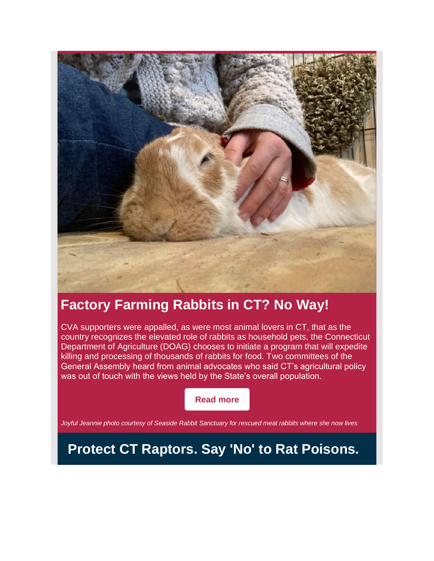

## **Factory Farming Rabbits in CT? No Way!**

CVA supporters were appalled, as were most animal lovers in CT, that as the country recognizes the elevated role of rabbits as household pets, the Connecticut Department of Agriculture (DOAG) chooses to initiate a program that will expedite killing and processing of thousands of rabbits for food. Two committees of the General Assembly heard from animal advocates who said CT's agricultural policy was out of touch with the views held by the State's overall population.

**[Read](https://www.ctvotesforanimals.org/mar-22) more**

*Joyful Jeannie photo courtesy of Seaside Rabbit Sanctuary for rescued meat rabbits where she now lives*

**Protect CT Raptors. Say 'No' to Rat Poisons.**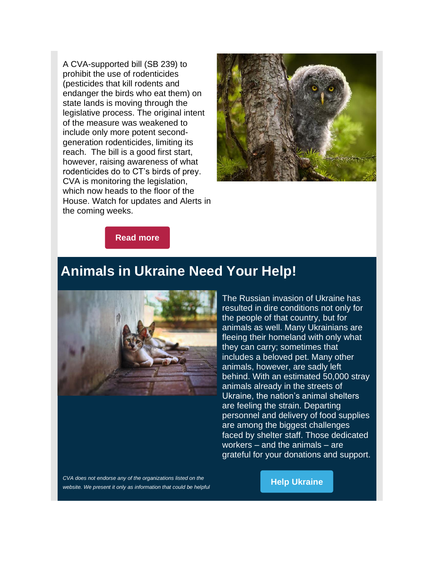A CVA-supported bill (SB 239) to prohibit the use of rodenticides (pesticides that kill rodents and endanger the birds who eat them) on state lands is moving through the legislative process. The original intent of the measure was weakened to include only more potent secondgeneration rodenticides, limiting its reach. The bill is a good first start, however, raising awareness of what rodenticides do to CT's birds of prey. CVA is monitoring the legislation, which now heads to the floor of the House. Watch for updates and Alerts in the coming weeks.



**[Read](https://www.ctvotesforanimals.org/march-22-rodent) more**

## **Animals in Ukraine Need Your Help!**



The Russian invasion of Ukraine has resulted in dire conditions not only for the people of that country, but for animals as well. Many Ukrainians are fleeing their homeland with only what they can carry; sometimes that includes a beloved pet. Many other animals, however, are sadly left behind. With an estimated 50,000 stray animals already in the streets of Ukraine, the nation's animal shelters are feeling the strain. Departing personnel and delivery of food supplies are among the biggest challenges faced by shelter staff. Those dedicated workers – and the animals – are grateful for your donations and support.

*CVA does not endorse any of the organizations listed on the website. We present it only as information that could be helpful* 

**Help [Ukraine](https://sentientmedia.org/russo-ukrainian-war-resources-and-groups-to-support/?fbclid=IwAR3Sve7jwGICJwcasdAtlnCnwUZQaRKf5cFWGefHiV-DUBvGpckWmIFh-PQ)**